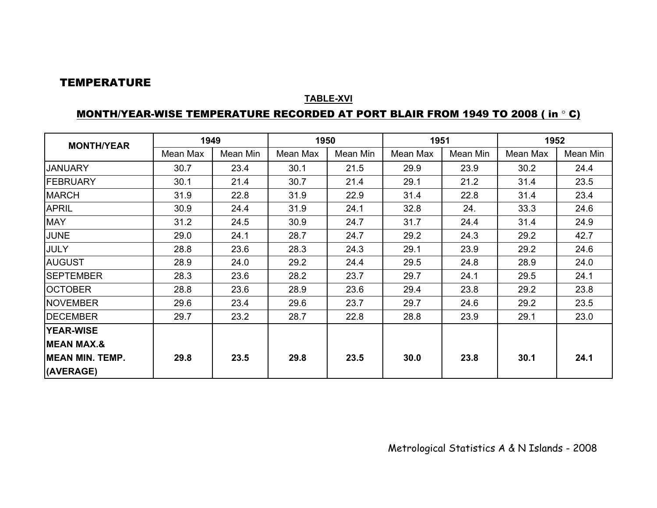#### TEMPERATURE

#### **TABLE-XVI**

#### MONTH/YEAR-WISE TEMPERATURE RECORDED AT PORT BLAIR FROM 1949 TO 2008 ( in ° C)

| <b>MONTH/YEAR</b>      | 1949     |          |          | 1950     |          | 1951     | 1952     |          |
|------------------------|----------|----------|----------|----------|----------|----------|----------|----------|
|                        | Mean Max | Mean Min | Mean Max | Mean Min | Mean Max | Mean Min | Mean Max | Mean Min |
| <b>JANUARY</b>         | 30.7     | 23.4     | 30.1     | 21.5     | 29.9     | 23.9     | 30.2     | 24.4     |
| <b>IFEBRUARY</b>       | 30.1     | 21.4     | 30.7     | 21.4     | 29.1     | 21.2     | 31.4     | 23.5     |
| <b>MARCH</b>           | 31.9     | 22.8     | 31.9     | 22.9     | 31.4     | 22.8     | 31.4     | 23.4     |
| <b>APRIL</b>           | 30.9     | 24.4     | 31.9     | 24.1     | 32.8     | 24.      | 33.3     | 24.6     |
| <b>MAY</b>             | 31.2     | 24.5     | 30.9     | 24.7     | 31.7     | 24.4     | 31.4     | 24.9     |
| <b>JUNE</b>            | 29.0     | 24.1     | 28.7     | 24.7     | 29.2     | 24.3     | 29.2     | 42.7     |
| <b>JULY</b>            | 28.8     | 23.6     | 28.3     | 24.3     | 29.1     | 23.9     | 29.2     | 24.6     |
| <b>AUGUST</b>          | 28.9     | 24.0     | 29.2     | 24.4     | 29.5     | 24.8     | 28.9     | 24.0     |
| <b>SEPTEMBER</b>       | 28.3     | 23.6     | 28.2     | 23.7     | 29.7     | 24.1     | 29.5     | 24.1     |
| <b>OCTOBER</b>         | 28.8     | 23.6     | 28.9     | 23.6     | 29.4     | 23.8     | 29.2     | 23.8     |
| <b>NOVEMBER</b>        | 29.6     | 23.4     | 29.6     | 23.7     | 29.7     | 24.6     | 29.2     | 23.5     |
| <b>DECEMBER</b>        | 29.7     | 23.2     | 28.7     | 22.8     | 28.8     | 23.9     | 29.1     | 23.0     |
| <b>YEAR-WISE</b>       |          |          |          |          |          |          |          |          |
| <b>MEAN MAX.&amp;</b>  |          |          |          |          |          |          |          |          |
| <b>MEAN MIN. TEMP.</b> | 29.8     | 23.5     | 29.8     | 23.5     | 30.0     | 23.8     | 30.1     | 24.1     |
| (AVERAGE)              |          |          |          |          |          |          |          |          |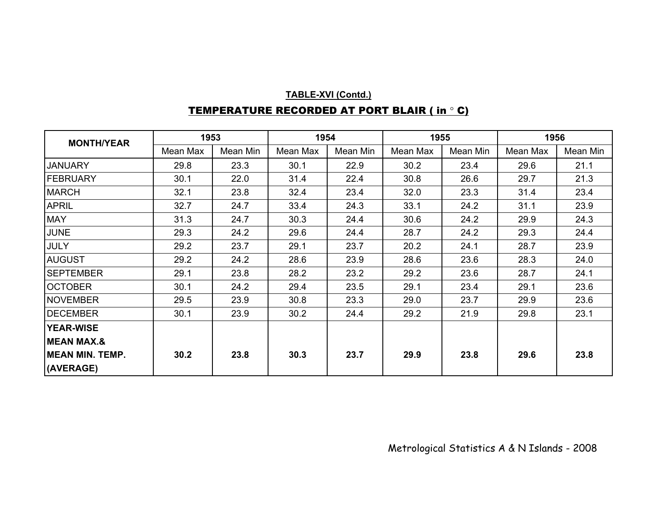## **TABLE-XVI (Contd.)** TEMPERATURE RECORDED AT PORT BLAIR ( in ° C)

| <b>MONTH/YEAR</b>       | 1953     |          | 1954     |          | 1955     |          | 1956     |          |
|-------------------------|----------|----------|----------|----------|----------|----------|----------|----------|
|                         | Mean Max | Mean Min | Mean Max | Mean Min | Mean Max | Mean Min | Mean Max | Mean Min |
| <b>JANUARY</b>          | 29.8     | 23.3     | 30.1     | 22.9     | 30.2     | 23.4     | 29.6     | 21.1     |
| FEBRUARY                | 30.1     | 22.0     | 31.4     | 22.4     | 30.8     | 26.6     | 29.7     | 21.3     |
| <b>MARCH</b>            | 32.1     | 23.8     | 32.4     | 23.4     | 32.0     | 23.3     | 31.4     | 23.4     |
| <b>APRIL</b>            | 32.7     | 24.7     | 33.4     | 24.3     | 33.1     | 24.2     | 31.1     | 23.9     |
| <b>MAY</b>              | 31.3     | 24.7     | 30.3     | 24.4     | 30.6     | 24.2     | 29.9     | 24.3     |
| <b>JUNE</b>             | 29.3     | 24.2     | 29.6     | 24.4     | 28.7     | 24.2     | 29.3     | 24.4     |
| JULY                    | 29.2     | 23.7     | 29.1     | 23.7     | 20.2     | 24.1     | 28.7     | 23.9     |
| <b>AUGUST</b>           | 29.2     | 24.2     | 28.6     | 23.9     | 28.6     | 23.6     | 28.3     | 24.0     |
| <b>SEPTEMBER</b>        | 29.1     | 23.8     | 28.2     | 23.2     | 29.2     | 23.6     | 28.7     | 24.1     |
| <b>OCTOBER</b>          | 30.1     | 24.2     | 29.4     | 23.5     | 29.1     | 23.4     | 29.1     | 23.6     |
| <b>NOVEMBER</b>         | 29.5     | 23.9     | 30.8     | 23.3     | 29.0     | 23.7     | 29.9     | 23.6     |
| <b>DECEMBER</b>         | 30.1     | 23.9     | 30.2     | 24.4     | 29.2     | 21.9     | 29.8     | 23.1     |
| <b>YEAR-WISE</b>        |          |          |          |          |          |          |          |          |
| <b>MEAN MAX.&amp;</b>   |          |          |          |          |          |          |          |          |
| <b>IMEAN MIN. TEMP.</b> | 30.2     | 23.8     | 30.3     | 23.7     | 29.9     | 23.8     | 29.6     | 23.8     |
| (AVERAGE)               |          |          |          |          |          |          |          |          |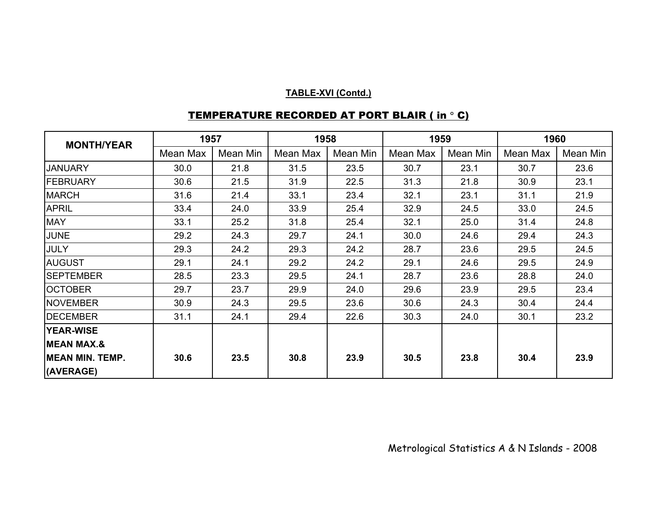| <b>MONTH/YEAR</b>      | 1957     |          | 1958     |          | 1959     |          | 1960     |          |
|------------------------|----------|----------|----------|----------|----------|----------|----------|----------|
|                        | Mean Max | Mean Min | Mean Max | Mean Min | Mean Max | Mean Min | Mean Max | Mean Min |
| <b>JANUARY</b>         | 30.0     | 21.8     | 31.5     | 23.5     | 30.7     | 23.1     | 30.7     | 23.6     |
| FEBRUARY               | 30.6     | 21.5     | 31.9     | 22.5     | 31.3     | 21.8     | 30.9     | 23.1     |
| <b>MARCH</b>           | 31.6     | 21.4     | 33.1     | 23.4     | 32.1     | 23.1     | 31.1     | 21.9     |
| <b>APRIL</b>           | 33.4     | 24.0     | 33.9     | 25.4     | 32.9     | 24.5     | 33.0     | 24.5     |
| <b>MAY</b>             | 33.1     | 25.2     | 31.8     | 25.4     | 32.1     | 25.0     | 31.4     | 24.8     |
| <b>JUNE</b>            | 29.2     | 24.3     | 29.7     | 24.1     | 30.0     | 24.6     | 29.4     | 24.3     |
| <b>JULY</b>            | 29.3     | 24.2     | 29.3     | 24.2     | 28.7     | 23.6     | 29.5     | 24.5     |
| <b>AUGUST</b>          | 29.1     | 24.1     | 29.2     | 24.2     | 29.1     | 24.6     | 29.5     | 24.9     |
| <b>SEPTEMBER</b>       | 28.5     | 23.3     | 29.5     | 24.1     | 28.7     | 23.6     | 28.8     | 24.0     |
| <b>OCTOBER</b>         | 29.7     | 23.7     | 29.9     | 24.0     | 29.6     | 23.9     | 29.5     | 23.4     |
| <b>INOVEMBER</b>       | 30.9     | 24.3     | 29.5     | 23.6     | 30.6     | 24.3     | 30.4     | 24.4     |
| <b>DECEMBER</b>        | 31.1     | 24.1     | 29.4     | 22.6     | 30.3     | 24.0     | 30.1     | 23.2     |
| <b>YEAR-WISE</b>       |          |          |          |          |          |          |          |          |
| <b>MEAN MAX.&amp;</b>  |          |          |          |          |          |          |          |          |
| <b>MEAN MIN. TEMP.</b> | 30.6     | 23.5     | 30.8     | 23.9     | 30.5     | 23.8     | 30.4     | 23.9     |
| (AVERAGE)              |          |          |          |          |          |          |          |          |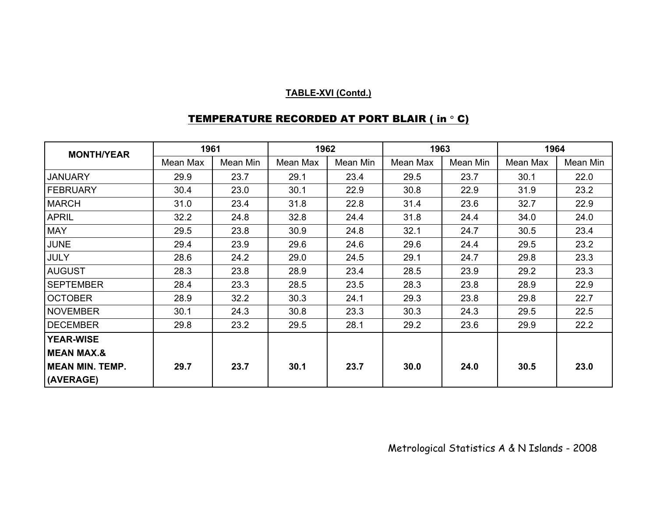| <b>MONTH/YEAR</b>      | 1961     |          | 1962     |          | 1963     |          | 1964     |          |
|------------------------|----------|----------|----------|----------|----------|----------|----------|----------|
|                        | Mean Max | Mean Min | Mean Max | Mean Min | Mean Max | Mean Min | Mean Max | Mean Min |
| <b>JANUARY</b>         | 29.9     | 23.7     | 29.1     | 23.4     | 29.5     | 23.7     | 30.1     | 22.0     |
| <b>FEBRUARY</b>        | 30.4     | 23.0     | 30.1     | 22.9     | 30.8     | 22.9     | 31.9     | 23.2     |
| <b>MARCH</b>           | 31.0     | 23.4     | 31.8     | 22.8     | 31.4     | 23.6     | 32.7     | 22.9     |
| <b>APRIL</b>           | 32.2     | 24.8     | 32.8     | 24.4     | 31.8     | 24.4     | 34.0     | 24.0     |
| <b>MAY</b>             | 29.5     | 23.8     | 30.9     | 24.8     | 32.1     | 24.7     | 30.5     | 23.4     |
| <b>JUNE</b>            | 29.4     | 23.9     | 29.6     | 24.6     | 29.6     | 24.4     | 29.5     | 23.2     |
| <b>JULY</b>            | 28.6     | 24.2     | 29.0     | 24.5     | 29.1     | 24.7     | 29.8     | 23.3     |
| <b>AUGUST</b>          | 28.3     | 23.8     | 28.9     | 23.4     | 28.5     | 23.9     | 29.2     | 23.3     |
| <b>SEPTEMBER</b>       | 28.4     | 23.3     | 28.5     | 23.5     | 28.3     | 23.8     | 28.9     | 22.9     |
| <b>OCTOBER</b>         | 28.9     | 32.2     | 30.3     | 24.1     | 29.3     | 23.8     | 29.8     | 22.7     |
| <b>NOVEMBER</b>        | 30.1     | 24.3     | 30.8     | 23.3     | 30.3     | 24.3     | 29.5     | 22.5     |
| <b>DECEMBER</b>        | 29.8     | 23.2     | 29.5     | 28.1     | 29.2     | 23.6     | 29.9     | 22.2     |
| <b>YEAR-WISE</b>       |          |          |          |          |          |          |          |          |
| <b>MEAN MAX.&amp;</b>  |          |          |          |          |          |          |          |          |
| <b>MEAN MIN. TEMP.</b> | 29.7     | 23.7     | 30.1     | 23.7     | 30.0     | 24.0     | 30.5     | 23.0     |
| (AVERAGE)              |          |          |          |          |          |          |          |          |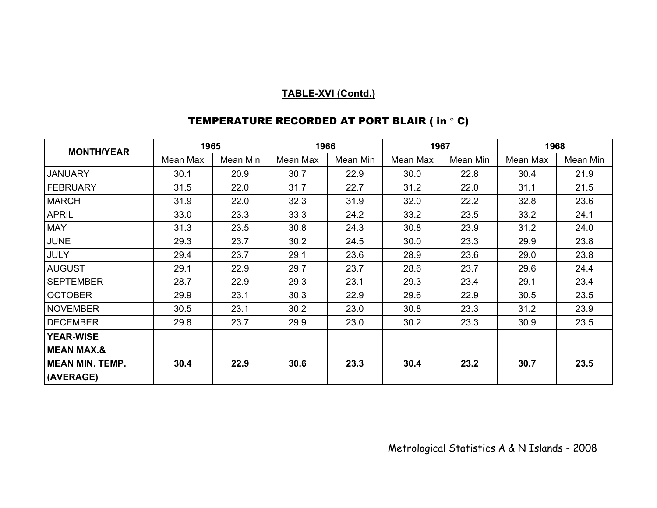| <b>MONTH/YEAR</b>       | 1965     |          | 1966     |          | 1967     |          | 1968     |          |
|-------------------------|----------|----------|----------|----------|----------|----------|----------|----------|
|                         | Mean Max | Mean Min | Mean Max | Mean Min | Mean Max | Mean Min | Mean Max | Mean Min |
| <b>JANUARY</b>          | 30.1     | 20.9     | 30.7     | 22.9     | 30.0     | 22.8     | 30.4     | 21.9     |
| FEBRUARY                | 31.5     | 22.0     | 31.7     | 22.7     | 31.2     | 22.0     | 31.1     | 21.5     |
| <b>MARCH</b>            | 31.9     | 22.0     | 32.3     | 31.9     | 32.0     | 22.2     | 32.8     | 23.6     |
| <b>APRIL</b>            | 33.0     | 23.3     | 33.3     | 24.2     | 33.2     | 23.5     | 33.2     | 24.1     |
| <b>MAY</b>              | 31.3     | 23.5     | 30.8     | 24.3     | 30.8     | 23.9     | 31.2     | 24.0     |
| <b>JUNE</b>             | 29.3     | 23.7     | 30.2     | 24.5     | 30.0     | 23.3     | 29.9     | 23.8     |
| <b>JULY</b>             | 29.4     | 23.7     | 29.1     | 23.6     | 28.9     | 23.6     | 29.0     | 23.8     |
| <b>AUGUST</b>           | 29.1     | 22.9     | 29.7     | 23.7     | 28.6     | 23.7     | 29.6     | 24.4     |
| <b>SEPTEMBER</b>        | 28.7     | 22.9     | 29.3     | 23.1     | 29.3     | 23.4     | 29.1     | 23.4     |
| <b>OCTOBER</b>          | 29.9     | 23.1     | 30.3     | 22.9     | 29.6     | 22.9     | 30.5     | 23.5     |
| <b>NOVEMBER</b>         | 30.5     | 23.1     | 30.2     | 23.0     | 30.8     | 23.3     | 31.2     | 23.9     |
| <b>DECEMBER</b>         | 29.8     | 23.7     | 29.9     | 23.0     | 30.2     | 23.3     | 30.9     | 23.5     |
| <b>YEAR-WISE</b>        |          |          |          |          |          |          |          |          |
| <b>MEAN MAX.&amp;</b>   |          |          |          |          |          |          |          |          |
| <b>IMEAN MIN. TEMP.</b> | 30.4     | 22.9     | 30.6     | 23.3     | 30.4     | 23.2     | 30.7     | 23.5     |
| (AVERAGE)               |          |          |          |          |          |          |          |          |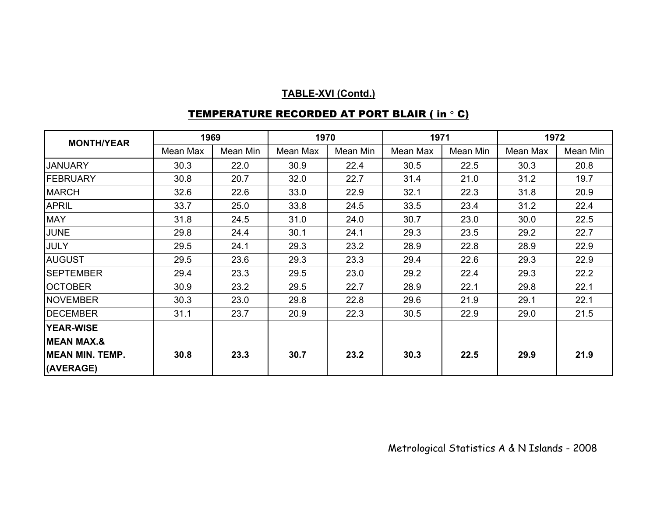| <b>MONTH/YEAR</b>                   | 1969     |          | 1970     |          | 1971     |          | 1972     |          |
|-------------------------------------|----------|----------|----------|----------|----------|----------|----------|----------|
|                                     | Mean Max | Mean Min | Mean Max | Mean Min | Mean Max | Mean Min | Mean Max | Mean Min |
| <b>JANUARY</b>                      | 30.3     | 22.0     | 30.9     | 22.4     | 30.5     | 22.5     | 30.3     | 20.8     |
| FEBRUARY                            | 30.8     | 20.7     | 32.0     | 22.7     | 31.4     | 21.0     | 31.2     | 19.7     |
| <b>MARCH</b>                        | 32.6     | 22.6     | 33.0     | 22.9     | 32.1     | 22.3     | 31.8     | 20.9     |
| <b>APRIL</b>                        | 33.7     | 25.0     | 33.8     | 24.5     | 33.5     | 23.4     | 31.2     | 22.4     |
| <b>MAY</b>                          | 31.8     | 24.5     | 31.0     | 24.0     | 30.7     | 23.0     | 30.0     | 22.5     |
| <b>JUNE</b>                         | 29.8     | 24.4     | 30.1     | 24.1     | 29.3     | 23.5     | 29.2     | 22.7     |
| <b>JULY</b>                         | 29.5     | 24.1     | 29.3     | 23.2     | 28.9     | 22.8     | 28.9     | 22.9     |
| <b>AUGUST</b>                       | 29.5     | 23.6     | 29.3     | 23.3     | 29.4     | 22.6     | 29.3     | 22.9     |
| <b>SEPTEMBER</b>                    | 29.4     | 23.3     | 29.5     | 23.0     | 29.2     | 22.4     | 29.3     | 22.2     |
| <b>OCTOBER</b>                      | 30.9     | 23.2     | 29.5     | 22.7     | 28.9     | 22.1     | 29.8     | 22.1     |
| <b>NOVEMBER</b>                     | 30.3     | 23.0     | 29.8     | 22.8     | 29.6     | 21.9     | 29.1     | 22.1     |
| <b>DECEMBER</b>                     | 31.1     | 23.7     | 20.9     | 22.3     | 30.5     | 22.9     | 29.0     | 21.5     |
| <b>YEAR-WISE</b>                    |          |          |          |          |          |          |          |          |
| <b>MEAN MAX.&amp;</b>               |          |          |          |          |          |          |          |          |
| <b>MEAN MIN. TEMP.</b><br>(AVERAGE) | 30.8     | 23.3     | 30.7     | 23.2     | 30.3     | 22.5     | 29.9     | 21.9     |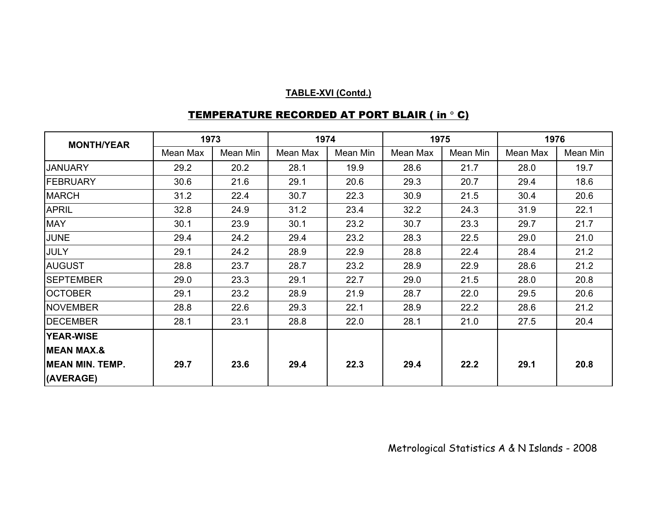| <b>MONTH/YEAR</b>      | 1973     |          | 1974     |          | 1975     |          | 1976     |          |
|------------------------|----------|----------|----------|----------|----------|----------|----------|----------|
|                        | Mean Max | Mean Min | Mean Max | Mean Min | Mean Max | Mean Min | Mean Max | Mean Min |
| <b>JANUARY</b>         | 29.2     | 20.2     | 28.1     | 19.9     | 28.6     | 21.7     | 28.0     | 19.7     |
| <b>FEBRUARY</b>        | 30.6     | 21.6     | 29.1     | 20.6     | 29.3     | 20.7     | 29.4     | 18.6     |
| <b>MARCH</b>           | 31.2     | 22.4     | 30.7     | 22.3     | 30.9     | 21.5     | 30.4     | 20.6     |
| <b>APRIL</b>           | 32.8     | 24.9     | 31.2     | 23.4     | 32.2     | 24.3     | 31.9     | 22.1     |
| <b>MAY</b>             | 30.1     | 23.9     | 30.1     | 23.2     | 30.7     | 23.3     | 29.7     | 21.7     |
| <b>JUNE</b>            | 29.4     | 24.2     | 29.4     | 23.2     | 28.3     | 22.5     | 29.0     | 21.0     |
| <b>JULY</b>            | 29.1     | 24.2     | 28.9     | 22.9     | 28.8     | 22.4     | 28.4     | 21.2     |
| <b>AUGUST</b>          | 28.8     | 23.7     | 28.7     | 23.2     | 28.9     | 22.9     | 28.6     | 21.2     |
| <b>SEPTEMBER</b>       | 29.0     | 23.3     | 29.1     | 22.7     | 29.0     | 21.5     | 28.0     | 20.8     |
| <b>OCTOBER</b>         | 29.1     | 23.2     | 28.9     | 21.9     | 28.7     | 22.0     | 29.5     | 20.6     |
| <b>NOVEMBER</b>        | 28.8     | 22.6     | 29.3     | 22.1     | 28.9     | 22.2     | 28.6     | 21.2     |
| <b>DECEMBER</b>        | 28.1     | 23.1     | 28.8     | 22.0     | 28.1     | 21.0     | 27.5     | 20.4     |
| <b>YEAR-WISE</b>       |          |          |          |          |          |          |          |          |
| <b>MEAN MAX.&amp;</b>  |          |          |          |          |          |          |          |          |
| <b>MEAN MIN. TEMP.</b> | 29.7     | 23.6     | 29.4     | 22.3     | 29.4     | 22.2     | 29.1     | 20.8     |
| (AVERAGE)              |          |          |          |          |          |          |          |          |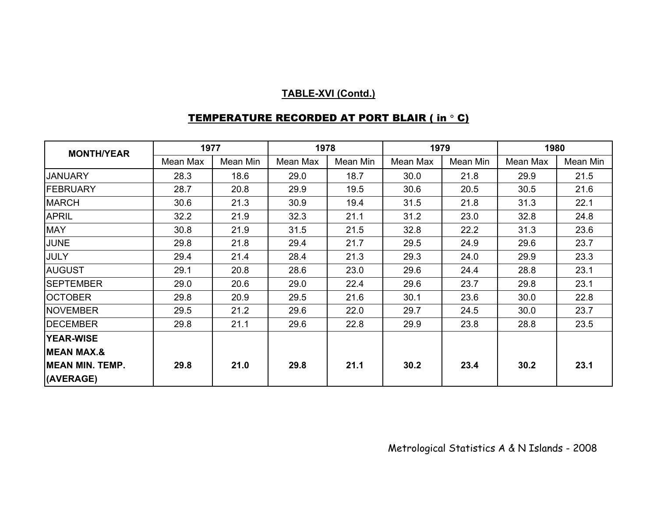| <b>MONTH/YEAR</b>      | 1977     |          | 1978     |          | 1979     |          | 1980     |          |
|------------------------|----------|----------|----------|----------|----------|----------|----------|----------|
|                        | Mean Max | Mean Min | Mean Max | Mean Min | Mean Max | Mean Min | Mean Max | Mean Min |
| <b>JANUARY</b>         | 28.3     | 18.6     | 29.0     | 18.7     | 30.0     | 21.8     | 29.9     | 21.5     |
| FEBRUARY               | 28.7     | 20.8     | 29.9     | 19.5     | 30.6     | 20.5     | 30.5     | 21.6     |
| <b>MARCH</b>           | 30.6     | 21.3     | 30.9     | 19.4     | 31.5     | 21.8     | 31.3     | 22.1     |
| <b>APRIL</b>           | 32.2     | 21.9     | 32.3     | 21.1     | 31.2     | 23.0     | 32.8     | 24.8     |
| <b>MAY</b>             | 30.8     | 21.9     | 31.5     | 21.5     | 32.8     | 22.2     | 31.3     | 23.6     |
| JUNE                   | 29.8     | 21.8     | 29.4     | 21.7     | 29.5     | 24.9     | 29.6     | 23.7     |
| JULY                   | 29.4     | 21.4     | 28.4     | 21.3     | 29.3     | 24.0     | 29.9     | 23.3     |
| <b>AUGUST</b>          | 29.1     | 20.8     | 28.6     | 23.0     | 29.6     | 24.4     | 28.8     | 23.1     |
| <b>SEPTEMBER</b>       | 29.0     | 20.6     | 29.0     | 22.4     | 29.6     | 23.7     | 29.8     | 23.1     |
| <b>OCTOBER</b>         | 29.8     | 20.9     | 29.5     | 21.6     | 30.1     | 23.6     | 30.0     | 22.8     |
| <b>NOVEMBER</b>        | 29.5     | 21.2     | 29.6     | 22.0     | 29.7     | 24.5     | 30.0     | 23.7     |
| <b>DECEMBER</b>        | 29.8     | 21.1     | 29.6     | 22.8     | 29.9     | 23.8     | 28.8     | 23.5     |
| <b>YEAR-WISE</b>       |          |          |          |          |          |          |          |          |
| <b>MEAN MAX.&amp;</b>  |          |          |          |          |          |          |          |          |
| <b>MEAN MIN. TEMP.</b> | 29.8     | 21.0     | 29.8     | 21.1     | 30.2     | 23.4     | 30.2     | 23.1     |
| (AVERAGE)              |          |          |          |          |          |          |          |          |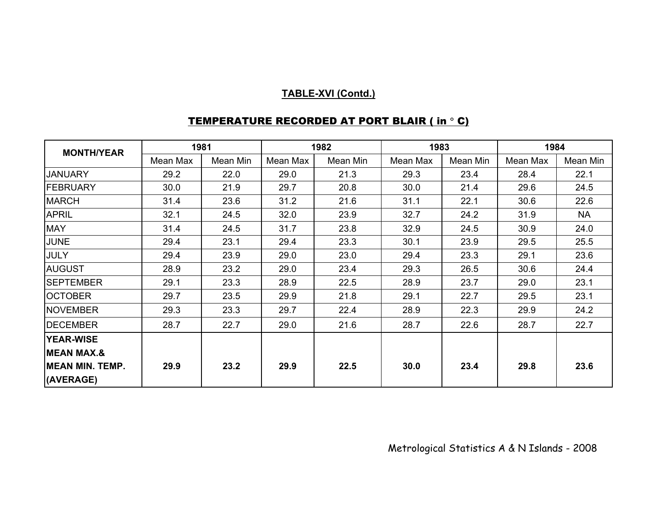| <b>MONTH/YEAR</b>      |          | 1981     |          | 1982     | 1983     |          | 1984     |           |
|------------------------|----------|----------|----------|----------|----------|----------|----------|-----------|
|                        | Mean Max | Mean Min | Mean Max | Mean Min | Mean Max | Mean Min | Mean Max | Mean Min  |
| <b>JANUARY</b>         | 29.2     | 22.0     | 29.0     | 21.3     | 29.3     | 23.4     | 28.4     | 22.1      |
| <b>FEBRUARY</b>        | 30.0     | 21.9     | 29.7     | 20.8     | 30.0     | 21.4     | 29.6     | 24.5      |
| <b>MARCH</b>           | 31.4     | 23.6     | 31.2     | 21.6     | 31.1     | 22.1     | 30.6     | 22.6      |
| <b>APRIL</b>           | 32.1     | 24.5     | 32.0     | 23.9     | 32.7     | 24.2     | 31.9     | <b>NA</b> |
| <b>MAY</b>             | 31.4     | 24.5     | 31.7     | 23.8     | 32.9     | 24.5     | 30.9     | 24.0      |
| <b>JUNE</b>            | 29.4     | 23.1     | 29.4     | 23.3     | 30.1     | 23.9     | 29.5     | 25.5      |
| JULY                   | 29.4     | 23.9     | 29.0     | 23.0     | 29.4     | 23.3     | 29.1     | 23.6      |
| <b>AUGUST</b>          | 28.9     | 23.2     | 29.0     | 23.4     | 29.3     | 26.5     | 30.6     | 24.4      |
| <b>SEPTEMBER</b>       | 29.1     | 23.3     | 28.9     | 22.5     | 28.9     | 23.7     | 29.0     | 23.1      |
| <b>OCTOBER</b>         | 29.7     | 23.5     | 29.9     | 21.8     | 29.1     | 22.7     | 29.5     | 23.1      |
| <b>NOVEMBER</b>        | 29.3     | 23.3     | 29.7     | 22.4     | 28.9     | 22.3     | 29.9     | 24.2      |
| <b>DECEMBER</b>        | 28.7     | 22.7     | 29.0     | 21.6     | 28.7     | 22.6     | 28.7     | 22.7      |
| <b>YEAR-WISE</b>       |          |          |          |          |          |          |          |           |
| <b>MEAN MAX.&amp;</b>  |          |          |          |          |          |          |          |           |
| <b>MEAN MIN. TEMP.</b> | 29.9     | 23.2     | 29.9     | 22.5     | 30.0     | 23.4     | 29.8     | 23.6      |
| (AVERAGE)              |          |          |          |          |          |          |          |           |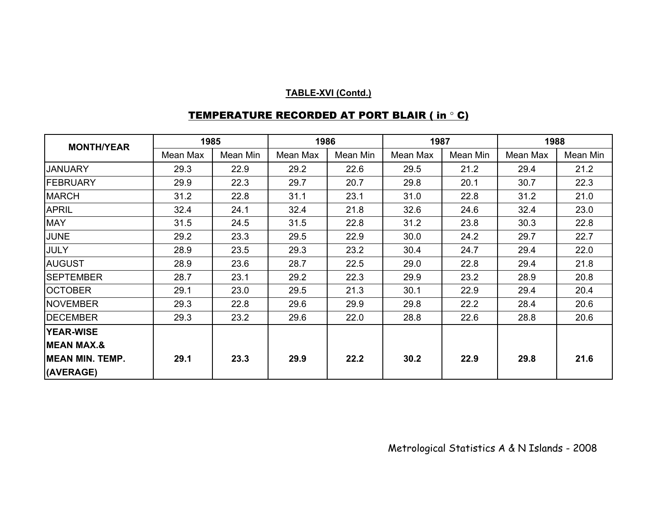| <b>MONTH/YEAR</b>       | 1985     |          |          | 1986     |          | 1987     |          | 1988     |  |
|-------------------------|----------|----------|----------|----------|----------|----------|----------|----------|--|
|                         | Mean Max | Mean Min | Mean Max | Mean Min | Mean Max | Mean Min | Mean Max | Mean Min |  |
| <b>JANUARY</b>          | 29.3     | 22.9     | 29.2     | 22.6     | 29.5     | 21.2     | 29.4     | 21.2     |  |
| <b>FEBRUARY</b>         | 29.9     | 22.3     | 29.7     | 20.7     | 29.8     | 20.1     | 30.7     | 22.3     |  |
| <b>MARCH</b>            | 31.2     | 22.8     | 31.1     | 23.1     | 31.0     | 22.8     | 31.2     | 21.0     |  |
| <b>APRIL</b>            | 32.4     | 24.1     | 32.4     | 21.8     | 32.6     | 24.6     | 32.4     | 23.0     |  |
| <b>MAY</b>              | 31.5     | 24.5     | 31.5     | 22.8     | 31.2     | 23.8     | 30.3     | 22.8     |  |
| <b>JUNE</b>             | 29.2     | 23.3     | 29.5     | 22.9     | 30.0     | 24.2     | 29.7     | 22.7     |  |
| <b>JULY</b>             | 28.9     | 23.5     | 29.3     | 23.2     | 30.4     | 24.7     | 29.4     | 22.0     |  |
| <b>AUGUST</b>           | 28.9     | 23.6     | 28.7     | 22.5     | 29.0     | 22.8     | 29.4     | 21.8     |  |
| <b>SEPTEMBER</b>        | 28.7     | 23.1     | 29.2     | 22.3     | 29.9     | 23.2     | 28.9     | 20.8     |  |
| <b>OCTOBER</b>          | 29.1     | 23.0     | 29.5     | 21.3     | 30.1     | 22.9     | 29.4     | 20.4     |  |
| <b>NOVEMBER</b>         | 29.3     | 22.8     | 29.6     | 29.9     | 29.8     | 22.2     | 28.4     | 20.6     |  |
| <b>DECEMBER</b>         | 29.3     | 23.2     | 29.6     | 22.0     | 28.8     | 22.6     | 28.8     | 20.6     |  |
| <b>YEAR-WISE</b>        |          |          |          |          |          |          |          |          |  |
| <b>MEAN MAX.&amp;</b>   |          |          |          |          |          |          |          |          |  |
| <b>IMEAN MIN. TEMP.</b> | 29.1     | 23.3     | 29.9     | 22.2     | 30.2     | 22.9     | 29.8     | 21.6     |  |
| (AVERAGE)               |          |          |          |          |          |          |          |          |  |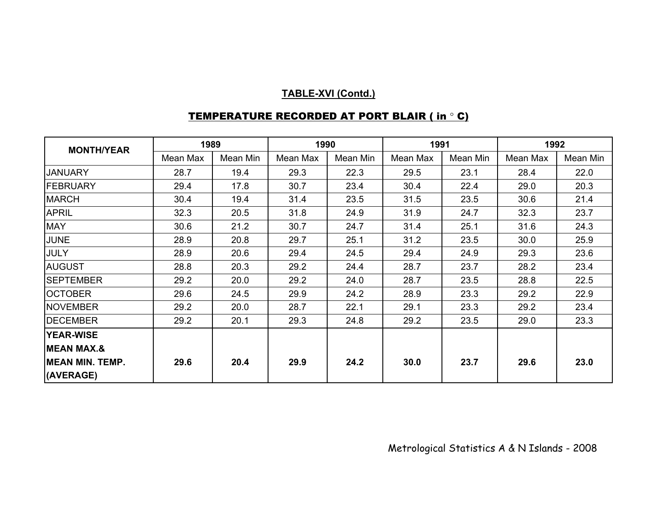| <b>MONTH/YEAR</b>      | 1989     |          | 1990     |          | 1991     |          | 1992     |          |
|------------------------|----------|----------|----------|----------|----------|----------|----------|----------|
|                        | Mean Max | Mean Min | Mean Max | Mean Min | Mean Max | Mean Min | Mean Max | Mean Min |
| <b>JANUARY</b>         | 28.7     | 19.4     | 29.3     | 22.3     | 29.5     | 23.1     | 28.4     | 22.0     |
| FEBRUARY               | 29.4     | 17.8     | 30.7     | 23.4     | 30.4     | 22.4     | 29.0     | 20.3     |
| <b>MARCH</b>           | 30.4     | 19.4     | 31.4     | 23.5     | 31.5     | 23.5     | 30.6     | 21.4     |
| <b>APRIL</b>           | 32.3     | 20.5     | 31.8     | 24.9     | 31.9     | 24.7     | 32.3     | 23.7     |
| <b>MAY</b>             | 30.6     | 21.2     | 30.7     | 24.7     | 31.4     | 25.1     | 31.6     | 24.3     |
| <b>JUNE</b>            | 28.9     | 20.8     | 29.7     | 25.1     | 31.2     | 23.5     | 30.0     | 25.9     |
| JULY                   | 28.9     | 20.6     | 29.4     | 24.5     | 29.4     | 24.9     | 29.3     | 23.6     |
| <b>AUGUST</b>          | 28.8     | 20.3     | 29.2     | 24.4     | 28.7     | 23.7     | 28.2     | 23.4     |
| <b>SEPTEMBER</b>       | 29.2     | 20.0     | 29.2     | 24.0     | 28.7     | 23.5     | 28.8     | 22.5     |
| <b>OCTOBER</b>         | 29.6     | 24.5     | 29.9     | 24.2     | 28.9     | 23.3     | 29.2     | 22.9     |
| <b>NOVEMBER</b>        | 29.2     | 20.0     | 28.7     | 22.1     | 29.1     | 23.3     | 29.2     | 23.4     |
| <b>DECEMBER</b>        | 29.2     | 20.1     | 29.3     | 24.8     | 29.2     | 23.5     | 29.0     | 23.3     |
| <b>YEAR-WISE</b>       |          |          |          |          |          |          |          |          |
| <b>MEAN MAX.&amp;</b>  |          |          |          |          |          |          |          |          |
| <b>MEAN MIN. TEMP.</b> | 29.6     | 20.4     | 29.9     | 24.2     | 30.0     | 23.7     | 29.6     | 23.0     |
| (AVERAGE)              |          |          |          |          |          |          |          |          |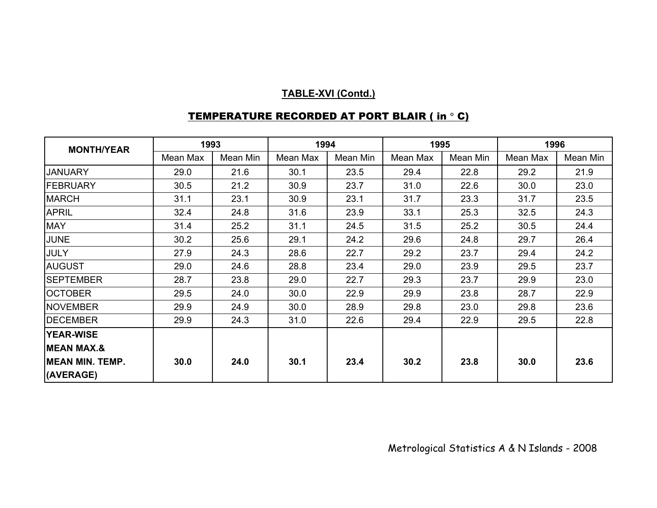| <b>MONTH/YEAR</b>      |          | 1993     |          | 1994     |          | 1995     | 1996     |          |
|------------------------|----------|----------|----------|----------|----------|----------|----------|----------|
|                        | Mean Max | Mean Min | Mean Max | Mean Min | Mean Max | Mean Min | Mean Max | Mean Min |
| <b>JANUARY</b>         | 29.0     | 21.6     | 30.1     | 23.5     | 29.4     | 22.8     | 29.2     | 21.9     |
| <b>FEBRUARY</b>        | 30.5     | 21.2     | 30.9     | 23.7     | 31.0     | 22.6     | 30.0     | 23.0     |
| <b>MARCH</b>           | 31.1     | 23.1     | 30.9     | 23.1     | 31.7     | 23.3     | 31.7     | 23.5     |
| <b>APRIL</b>           | 32.4     | 24.8     | 31.6     | 23.9     | 33.1     | 25.3     | 32.5     | 24.3     |
| <b>MAY</b>             | 31.4     | 25.2     | 31.1     | 24.5     | 31.5     | 25.2     | 30.5     | 24.4     |
| <b>JUNE</b>            | 30.2     | 25.6     | 29.1     | 24.2     | 29.6     | 24.8     | 29.7     | 26.4     |
| JULY                   | 27.9     | 24.3     | 28.6     | 22.7     | 29.2     | 23.7     | 29.4     | 24.2     |
| <b>AUGUST</b>          | 29.0     | 24.6     | 28.8     | 23.4     | 29.0     | 23.9     | 29.5     | 23.7     |
| <b>SEPTEMBER</b>       | 28.7     | 23.8     | 29.0     | 22.7     | 29.3     | 23.7     | 29.9     | 23.0     |
| <b>OCTOBER</b>         | 29.5     | 24.0     | 30.0     | 22.9     | 29.9     | 23.8     | 28.7     | 22.9     |
| <b>NOVEMBER</b>        | 29.9     | 24.9     | 30.0     | 28.9     | 29.8     | 23.0     | 29.8     | 23.6     |
| <b>DECEMBER</b>        | 29.9     | 24.3     | 31.0     | 22.6     | 29.4     | 22.9     | 29.5     | 22.8     |
| <b>YEAR-WISE</b>       |          |          |          |          |          |          |          |          |
| <b>MEAN MAX.&amp;</b>  |          |          |          |          |          |          |          |          |
| <b>MEAN MIN. TEMP.</b> | 30.0     | 24.0     | 30.1     | 23.4     | 30.2     | 23.8     | 30.0     | 23.6     |
| (AVERAGE)              |          |          |          |          |          |          |          |          |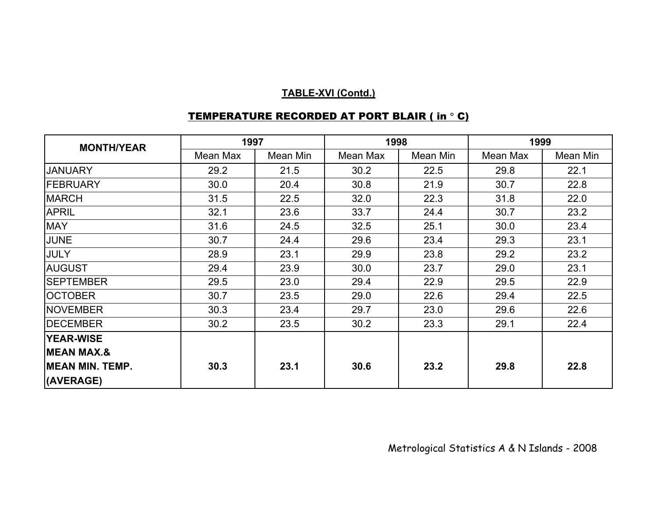| <b>MONTH/YEAR</b>      | 1997     |          |          | 1998     | 1999     |          |  |
|------------------------|----------|----------|----------|----------|----------|----------|--|
|                        | Mean Max | Mean Min | Mean Max | Mean Min | Mean Max | Mean Min |  |
| <b>JANUARY</b>         | 29.2     | 21.5     | 30.2     | 22.5     | 29.8     | 22.1     |  |
| <b>FEBRUARY</b>        | 30.0     | 20.4     | 30.8     | 21.9     | 30.7     | 22.8     |  |
| <b>MARCH</b>           | 31.5     | 22.5     | 32.0     | 22.3     | 31.8     | 22.0     |  |
| <b>APRIL</b>           | 32.1     | 23.6     | 33.7     | 24.4     | 30.7     | 23.2     |  |
| <b>MAY</b>             | 31.6     | 24.5     | 32.5     | 25.1     | 30.0     | 23.4     |  |
| <b>JUNE</b>            | 30.7     | 24.4     | 29.6     | 23.4     | 29.3     | 23.1     |  |
| <b>JULY</b>            | 28.9     | 23.1     | 29.9     | 23.8     | 29.2     | 23.2     |  |
| <b>AUGUST</b>          | 29.4     | 23.9     | 30.0     | 23.7     | 29.0     | 23.1     |  |
| <b>SEPTEMBER</b>       | 29.5     | 23.0     | 29.4     | 22.9     | 29.5     | 22.9     |  |
| <b>OCTOBER</b>         | 30.7     | 23.5     | 29.0     | 22.6     | 29.4     | 22.5     |  |
| <b>NOVEMBER</b>        | 30.3     | 23.4     | 29.7     | 23.0     | 29.6     | 22.6     |  |
| <b>DECEMBER</b>        | 30.2     | 23.5     | 30.2     | 23.3     | 29.1     | 22.4     |  |
| <b>YEAR-WISE</b>       |          |          |          |          |          |          |  |
| <b>MEAN MAX.&amp;</b>  |          |          |          |          |          |          |  |
| <b>MEAN MIN. TEMP.</b> | 30.3     | 23.1     | 30.6     | 23.2     | 29.8     | 22.8     |  |
| (AVERAGE)              |          |          |          |          |          |          |  |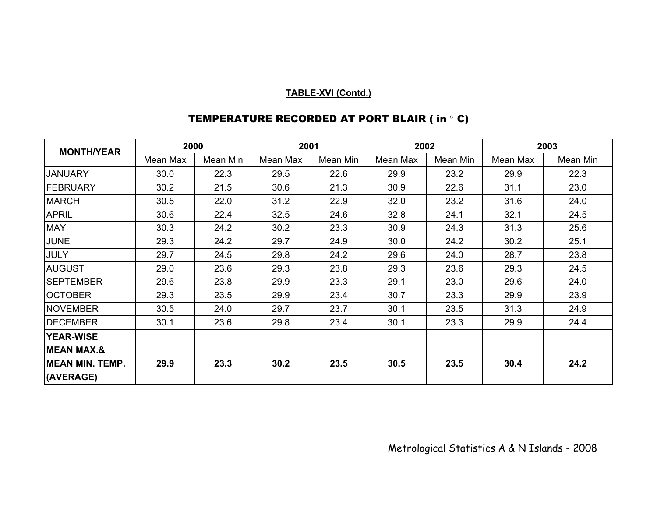| <b>MONTH/YEAR</b>      | 2000     |          | 2001     |          | 2002     |          | 2003     |          |
|------------------------|----------|----------|----------|----------|----------|----------|----------|----------|
|                        | Mean Max | Mean Min | Mean Max | Mean Min | Mean Max | Mean Min | Mean Max | Mean Min |
| <b>JANUARY</b>         | 30.0     | 22.3     | 29.5     | 22.6     | 29.9     | 23.2     | 29.9     | 22.3     |
| FEBRUARY               | 30.2     | 21.5     | 30.6     | 21.3     | 30.9     | 22.6     | 31.1     | 23.0     |
| <b>MARCH</b>           | 30.5     | 22.0     | 31.2     | 22.9     | 32.0     | 23.2     | 31.6     | 24.0     |
| <b>APRIL</b>           | 30.6     | 22.4     | 32.5     | 24.6     | 32.8     | 24.1     | 32.1     | 24.5     |
| <b>MAY</b>             | 30.3     | 24.2     | 30.2     | 23.3     | 30.9     | 24.3     | 31.3     | 25.6     |
| <b>JUNE</b>            | 29.3     | 24.2     | 29.7     | 24.9     | 30.0     | 24.2     | 30.2     | 25.1     |
| <b>JULY</b>            | 29.7     | 24.5     | 29.8     | 24.2     | 29.6     | 24.0     | 28.7     | 23.8     |
| <b>AUGUST</b>          | 29.0     | 23.6     | 29.3     | 23.8     | 29.3     | 23.6     | 29.3     | 24.5     |
| <b>SEPTEMBER</b>       | 29.6     | 23.8     | 29.9     | 23.3     | 29.1     | 23.0     | 29.6     | 24.0     |
| <b>OCTOBER</b>         | 29.3     | 23.5     | 29.9     | 23.4     | 30.7     | 23.3     | 29.9     | 23.9     |
| <b>NOVEMBER</b>        | 30.5     | 24.0     | 29.7     | 23.7     | 30.1     | 23.5     | 31.3     | 24.9     |
| <b>DECEMBER</b>        | 30.1     | 23.6     | 29.8     | 23.4     | 30.1     | 23.3     | 29.9     | 24.4     |
| <b>YEAR-WISE</b>       |          |          |          |          |          |          |          |          |
| <b>MEAN MAX.&amp;</b>  |          |          |          |          |          |          |          |          |
| <b>MEAN MIN. TEMP.</b> | 29.9     | 23.3     | 30.2     | 23.5     | 30.5     | 23.5     | 30.4     | 24.2     |
| (AVERAGE)              |          |          |          |          |          |          |          |          |